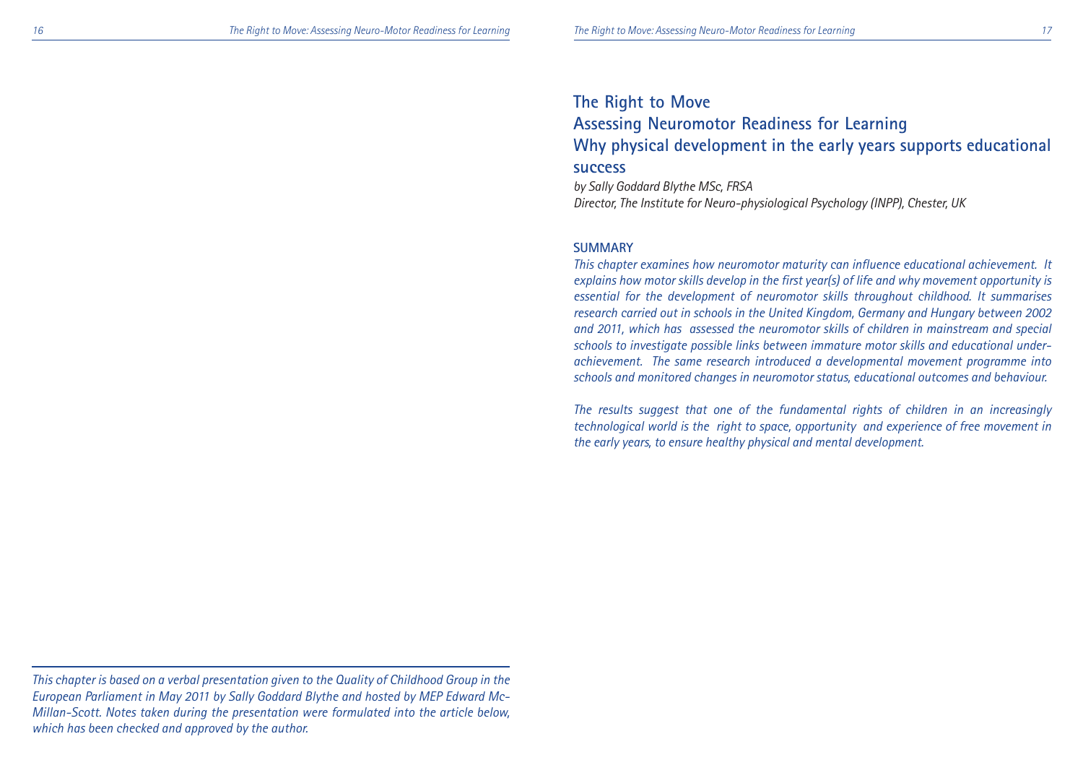# **The Right to Move Assessing Neuromotor Readiness for Learning Why physical development in the early years supports educational success**

*by Sally Goddard Blythe MSc, FRSA Director, The Institute for Neuro-physiological Psychology (INPP), Chester, UK*

#### **SUMMARY**

*This chapter examines how neuromotor maturity can influence educational achievement. It explains how motor skills develop in the first year(s) of life and why movement opportunity is essential for the development of neuromotor skills throughout childhood. It summarises research carried out in schools in the United Kingdom, Germany and Hungary between 2002 and 2011, which has assessed the neuromotor skills of children in mainstream and special schools to investigate possible links between immature motor skills and educational underachievement. The same research introduced a developmental movement programme into schools and monitored changes in neuromotor status, educational outcomes and behaviour.*

*The results suggest that one of the fundamental rights of children in an increasingly technological world is the right to space, opportunity and experience of free movement in the early years, to ensure healthy physical and mental development.*

*This chapter is based on a verbal presentation given to the Quality of Childhood Group in the European Parliament in May 2011 by Sally Goddard Blythe and hosted by MEP Edward Mc-Millan-Scott. Notes taken during the presentation were formulated into the article below, which has been checked and approved by the author.*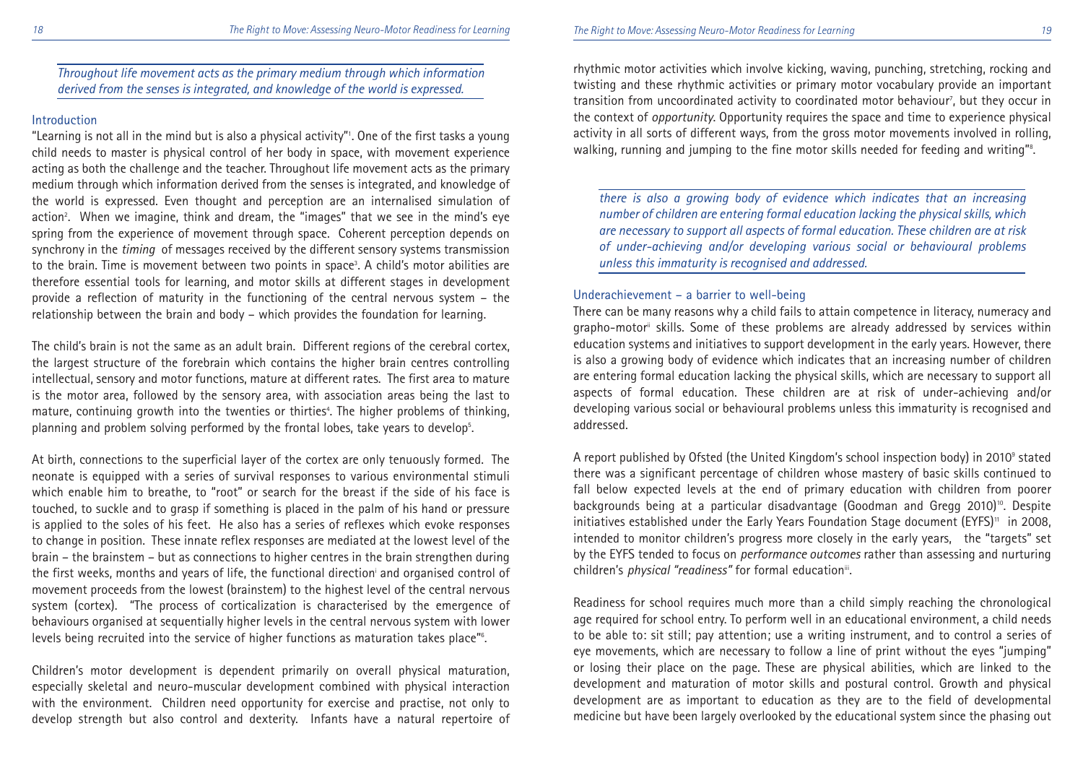*Throughout life movement acts as the primary medium through which information derived from the senses is integrated, and knowledge of the world is expressed.*

#### Introduction

"Learning is not all in the mind but is also a physical activity"1. One of the first tasks a young child needs to master is physical control of her body in space, with movement experience acting as both the challenge and the teacher. Throughout life movement acts as the primary medium through which information derived from the senses is integrated, and knowledge of the world is expressed. Even thought and perception are an internalised simulation of action<sup>2</sup>. When we imagine, think and dream, the "images" that we see in the mind's eye spring from the experience of movement through space. Coherent perception depends on synchrony in the *timing* of messages received by the different sensory systems transmission to the brain. Time is movement between two points in space<sup>3</sup>. A child's motor abilities are therefore essential tools for learning, and motor skills at different stages in development provide a reflection of maturity in the functioning of the central nervous system – the relationship between the brain and body – which provides the foundation for learning.

The child's brain is not the same as an adult brain. Different regions of the cerebral cortex, the largest structure of the forebrain which contains the higher brain centres controlling intellectual, sensory and motor functions, mature at different rates. The first area to mature is the motor area, followed by the sensory area, with association areas being the last to mature, continuing growth into the twenties or thirties<sup>4</sup>. The higher problems of thinking, planning and problem solving performed by the frontal lobes, take years to develop<sup>5</sup>.

At birth, connections to the superficial layer of the cortex are only tenuously formed. The neonate is equipped with a series of survival responses to various environmental stimuli which enable him to breathe, to "root" or search for the breast if the side of his face is touched, to suckle and to grasp if something is placed in the palm of his hand or pressure is applied to the soles of his feet. He also has a series of reflexes which evoke responses to change in position. These innate reflex responses are mediated at the lowest level of the brain – the brainstem – but as connections to higher centres in the brain strengthen during the first weeks, months and years of life, the functional direction and organised control of movement proceeds from the lowest (brainstem) to the highest level of the central nervous system (cortex). "The process of corticalization is characterised by the emergence of behaviours organised at sequentially higher levels in the central nervous system with lower levels being recruited into the service of higher functions as maturation takes place"<sup>6</sup>.

Children's motor development is dependent primarily on overall physical maturation, especially skeletal and neuro-muscular development combined with physical interaction with the environment. Children need opportunity for exercise and practise, not only to develop strength but also control and dexterity. Infants have a natural repertoire of

rhythmic motor activities which involve kicking, waving, punching, stretching, rocking and twisting and these rhythmic activities or primary motor vocabulary provide an important transition from uncoordinated activity to coordinated motor behaviour', but they occur in the context of *opportunity*. Opportunity requires the space and time to experience physical activity in all sorts of different ways, from the gross motor movements involved in rolling, walking, running and jumping to the fine motor skills needed for feeding and writing"8 .

*there is also a growing body of evidence which indicates that an increasing number of children are entering formal education lacking the physical skills, which are necessary to support all aspects of formal education. These children are at risk of under-achieving and/or developing various social or behavioural problems unless this immaturity is recognised and addressed.* 

## Underachievement – a barrier to well-being

There can be many reasons why a child fails to attain competence in literacy, numeracy and grapho-motorii skills. Some of these problems are already addressed by services within education systems and initiatives to support development in the early years. However, there is also a growing body of evidence which indicates that an increasing number of children are entering formal education lacking the physical skills, which are necessary to support all aspects of formal education. These children are at risk of under-achieving and/or developing various social or behavioural problems unless this immaturity is recognised and addressed.

A report published by Ofsted (the United Kingdom's school inspection body) in 20109 stated there was a significant percentage of children whose mastery of basic skills continued to fall below expected levels at the end of primary education with children from poorer backgrounds being at a particular disadvantage (Goodman and Gregg 2010)<sup>10</sup>. Despite initiatives established under the Early Years Foundation Stage document (EYFS) $<sup>11</sup>$  in 2008,</sup> intended to monitor children's progress more closely in the early years, the "targets" set by the EYFS tended to focus on *performance outcomes* rather than assessing and nurturing children's *physical "readiness"* for formal education<sup>ii</sup>.

Readiness for school requires much more than a child simply reaching the chronological age required for school entry. To perform well in an educational environment, a child needs to be able to: sit still; pay attention; use a writing instrument, and to control a series of eye movements, which are necessary to follow a line of print without the eyes "jumping" or losing their place on the page. These are physical abilities, which are linked to the development and maturation of motor skills and postural control. Growth and physical development are as important to education as they are to the field of developmental medicine but have been largely overlooked by the educational system since the phasing out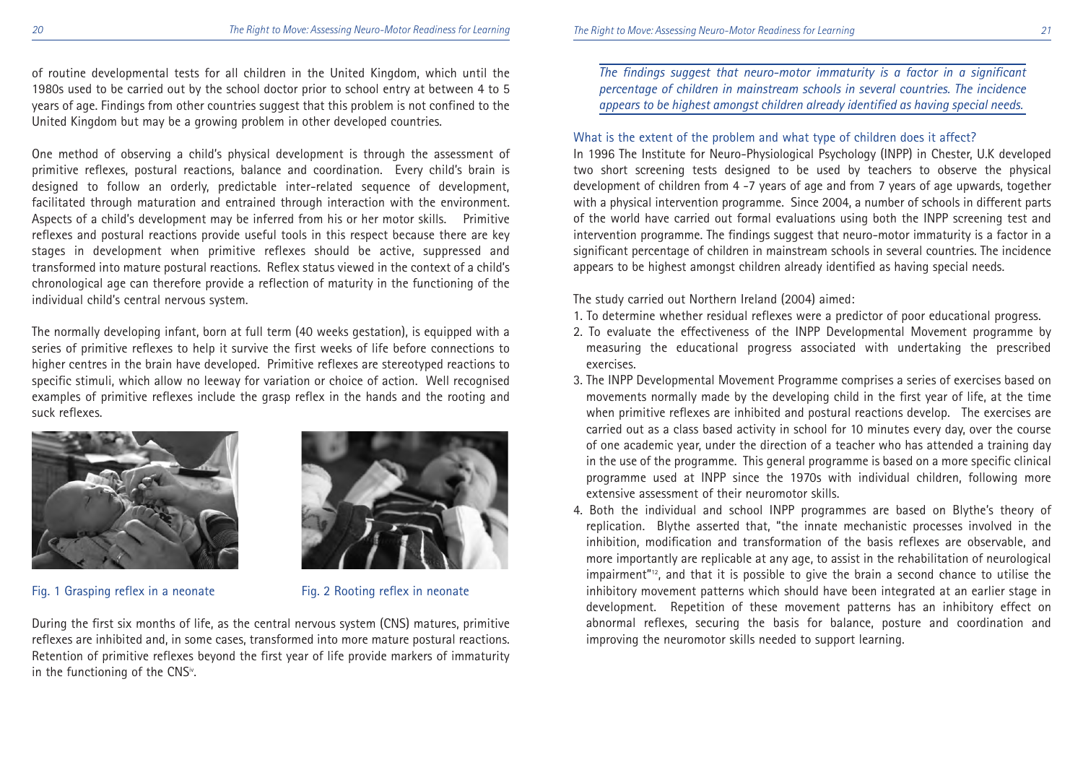of routine developmental tests for all children in the United Kingdom, which until the 1980s used to be carried out by the school doctor prior to school entry at between 4 to 5 years of age. Findings from other countries suggest that this problem is not confined to the United Kingdom but may be a growing problem in other developed countries.

One method of observing a child's physical development is through the assessment of primitive reflexes, postural reactions, balance and coordination. Every child's brain is designed to follow an orderly, predictable inter-related sequence of development, facilitated through maturation and entrained through interaction with the environment. Aspects of a child's development may be inferred from his or her motor skills. Primitive reflexes and postural reactions provide useful tools in this respect because there are key stages in development when primitive reflexes should be active, suppressed and transformed into mature postural reactions. Reflex status viewed in the context of a child's chronological age can therefore provide a reflection of maturity in the functioning of the individual child's central nervous system.

The normally developing infant, born at full term (40 weeks gestation), is equipped with a series of primitive reflexes to help it survive the first weeks of life before connections to higher centres in the brain have developed. Primitive reflexes are stereotyped reactions to specific stimuli, which allow no leeway for variation or choice of action. Well recognised examples of primitive reflexes include the grasp reflex in the hands and the rooting and suck reflexes.



Fig. 1 Grasping reflex in a neonate Fig. 2 Rooting reflex in neonate



During the first six months of life, as the central nervous system (CNS) matures, primitive reflexes are inhibited and, in some cases, transformed into more mature postural reactions. Retention of primitive reflexes beyond the first year of life provide markers of immaturity in the functioning of the  $CNS^{\omega}$ .

*The findings suggest that neuro-motor immaturity is a factor in a significant percentage of children in mainstream schools in several countries. The incidence appears to be highest amongst children already identified as having special needs.*

### What is the extent of the problem and what type of children does it affect?

In 1996 The Institute for Neuro-Physiological Psychology (INPP) in Chester, U.K developed two short screening tests designed to be used by teachers to observe the physical development of children from 4 -7 years of age and from 7 years of age upwards, together with a physical intervention programme. Since 2004, a number of schools in different parts of the world have carried out formal evaluations using both the INPP screening test and intervention programme. The findings suggest that neuro-motor immaturity is a factor in a significant percentage of children in mainstream schools in several countries. The incidence appears to be highest amongst children already identified as having special needs.

The study carried out Northern Ireland (2004) aimed:

- 1. To determine whether residual reflexes were a predictor of poor educational progress.
- 2. To evaluate the effectiveness of the INPP Developmental Movement programme by measuring the educational progress associated with undertaking the prescribed exercises.
- 3. The INPP Developmental Movement Programme comprises a series of exercises based on movements normally made by the developing child in the first year of life, at the time when primitive reflexes are inhibited and postural reactions develop. The exercises are carried out as a class based activity in school for 10 minutes every day, over the course of one academic year, under the direction of a teacher who has attended a training day in the use of the programme. This general programme is based on a more specific clinical programme used at INPP since the 1970s with individual children, following more extensive assessment of their neuromotor skills.
- 4. Both the individual and school INPP programmes are based on Blythe's theory of replication. Blythe asserted that, "the innate mechanistic processes involved in the inhibition, modification and transformation of the basis reflexes are observable, and more importantly are replicable at any age, to assist in the rehabilitation of neurological impairment"12, and that it is possible to give the brain a second chance to utilise the inhibitory movement patterns which should have been integrated at an earlier stage in development. Repetition of these movement patterns has an inhibitory effect on abnormal reflexes, securing the basis for balance, posture and coordination and improving the neuromotor skills needed to support learning.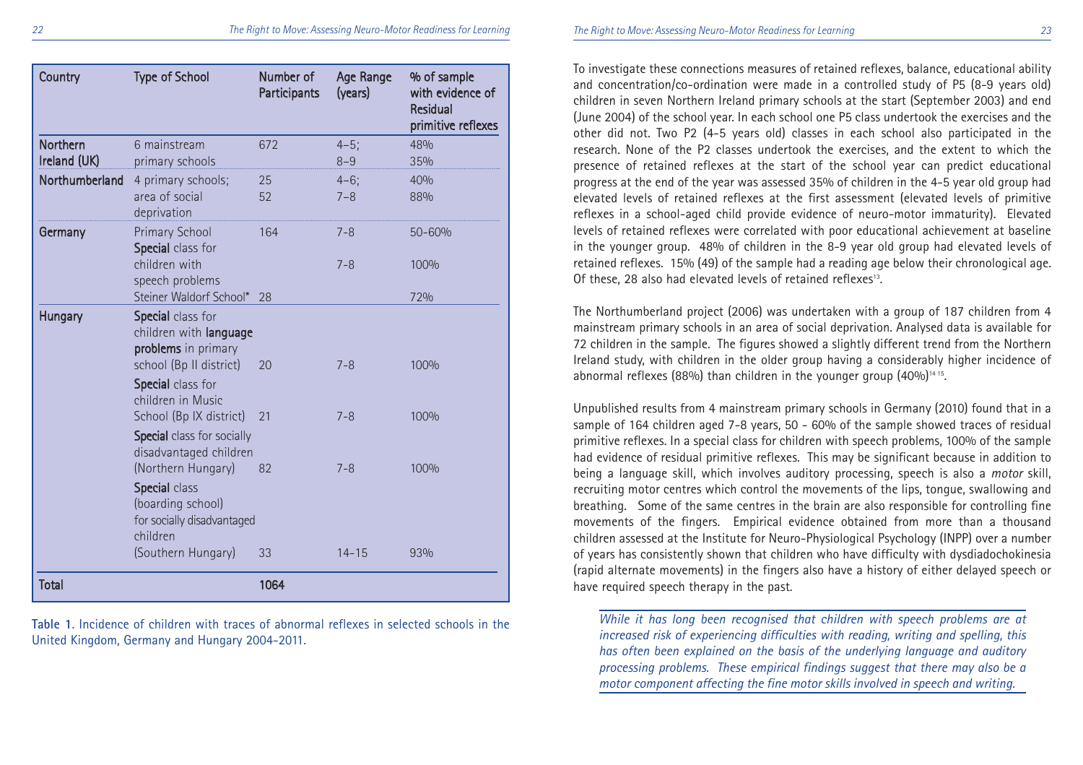| Country                  | <b>Type of School</b>                                                                                                        | Number of<br>Participants | Age Range<br>(years) | % of sample<br>with evidence of<br><b>Residual</b><br>primitive reflexes |
|--------------------------|------------------------------------------------------------------------------------------------------------------------------|---------------------------|----------------------|--------------------------------------------------------------------------|
| Northern<br>Ireland (UK) | 6 mainstream<br>primary schools                                                                                              | 672                       | $4 - 5$ ;<br>$8 - 9$ | 48%<br>35%                                                               |
| Northumberland           | 4 primary schools;<br>area of social<br>deprivation                                                                          | 25<br>52                  | $4 - 6$ ;<br>$7 - 8$ | 40%<br>88%                                                               |
| Germany                  | <b>Primary School</b><br>Special class for<br>children with<br>speech problems                                               | 164                       | $7 - 8$<br>$7 - 8$   | 50-60%<br>100%                                                           |
|                          | Steiner Waldorf School*                                                                                                      | 28                        |                      | 72%                                                                      |
| <b>Hungary</b>           | Special class for<br>children with language<br>problems in primary<br>school (Bp II district)                                | 20                        | $7 - 8$              | 100%                                                                     |
|                          | Special class for<br>children in Music<br>School (Bp IX district)<br>Special class for socially                              | 21                        | $7 - 8$              | 100%                                                                     |
|                          | disadvantaged children<br>(Northern Hungary)<br>Special class<br>(boarding school)<br>for socially disadvantaged<br>children | 82                        | $7 - 8$              | 100%                                                                     |
|                          | (Southern Hungary)                                                                                                           | 33                        | $14 - 15$            | 93%                                                                      |
| <b>Total</b>             |                                                                                                                              | 1064                      |                      |                                                                          |

**Table 1**. Incidence of children with traces of abnormal reflexes in selected schools in the United Kingdom, Germany and Hungary 2004-2011.

To investigate these connections measures of retained reflexes, balance, educational ability and concentration/co-ordination were made in a controlled study of P5 (8-9 years old) children in seven Northern Ireland primary schools at the start (September 2003) and end (June 2004) of the school year. In each school one P5 class undertook the exercises and the other did not. Two P2 (4-5 years old) classes in each school also participated in the research. None of the P2 classes undertook the exercises, and the extent to which the presence of retained reflexes at the start of the school year can predict educational progress at the end of the year was assessed 35% of children in the 4-5 year old group had elevated levels of retained reflexes at the first assessment (elevated levels of primitive reflexes in a school-aged child provide evidence of neuro-motor immaturity). Elevated levels of retained reflexes were correlated with poor educational achievement at baseline in the younger group. 48% of children in the 8-9 year old group had elevated levels of retained reflexes. 15% (49) of the sample had a reading age below their chronological age. Of these, 28 also had elevated levels of retained reflexes<sup>13</sup>.

The Northumberland project (2006) was undertaken with a group of 187 children from 4 mainstream primary schools in an area of social deprivation. Analysed data is available for 72 children in the sample. The figures showed a slightly different trend from the Northern Ireland study, with children in the older group having a considerably higher incidence of abnormal reflexes (88%) than children in the younger group  $(40\%)$ <sup>14 15</sup>.

Unpublished results from 4 mainstream primary schools in Germany (2010) found that in a sample of 164 children aged 7-8 years, 50 - 60% of the sample showed traces of residual primitive reflexes. In a special class for children with speech problems, 100% of the sample had evidence of residual primitive reflexes. This may be significant because in addition to being a language skill, which involves auditory processing, speech is also a *motor* skill, recruiting motor centres which control the movements of the lips, tongue, swallowing and breathing. Some of the same centres in the brain are also responsible for controlling fine movements of the fingers. Empirical evidence obtained from more than a thousand children assessed at the Institute for Neuro-Physiological Psychology (INPP) over a number of years has consistently shown that children who have difficulty with dysdiadochokinesia (rapid alternate movements) in the fingers also have a history of either delayed speech or have required speech therapy in the past.

*While it has long been recognised that children with speech problems are at increased risk of experiencing difficulties with reading, writing and spelling, this has often been explained on the basis of the underlying language and auditory processing problems. These empirical findings suggest that there may also be a motor component affecting the fine motor skills involved in speech and writing.*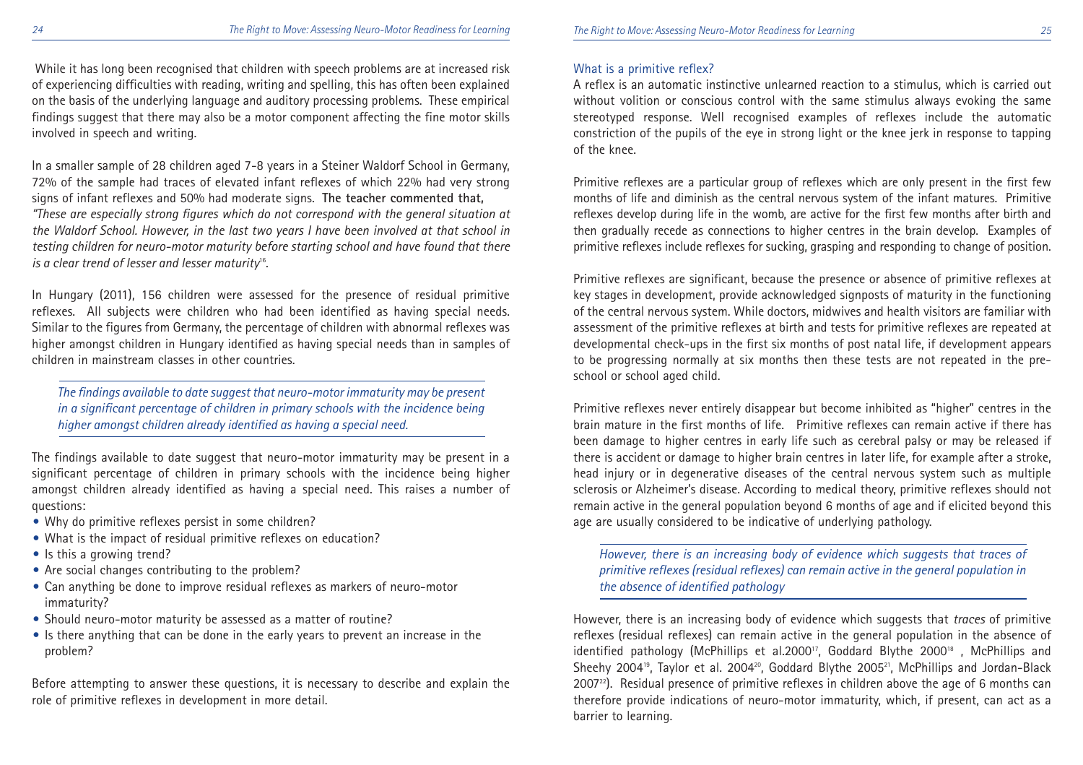While it has long been recognised that children with speech problems are at increased risk of experiencing difficulties with reading, writing and spelling, this has often been explained on the basis of the underlying language and auditory processing problems. These empirical findings suggest that there may also be a motor component affecting the fine motor skills involved in speech and writing.

In a smaller sample of 28 children aged 7-8 years in a Steiner Waldorf School in Germany, 72% of the sample had traces of elevated infant reflexes of which 22% had very strong signs of infant reflexes and 50% had moderate signs. **The teacher commented that,** *"These are especially strong figures which do not correspond with the general situation at the Waldorf School. However, in the last two years I have been involved at that school in testing children for neuro-motor maturity before starting school and have found that there is a clear trend of lesser and lesser maturity*<sup>16</sup>.

In Hungary (2011), 156 children were assessed for the presence of residual primitive reflexes. All subjects were children who had been identified as having special needs. Similar to the figures from Germany, the percentage of children with abnormal reflexes was higher amongst children in Hungary identified as having special needs than in samples of children in mainstream classes in other countries.

*The findings available to date suggest that neuro-motor immaturity may be present in a significant percentage of children in primary schools with the incidence being higher amongst children already identified as having a special need.*

The findings available to date suggest that neuro-motor immaturity may be present in a significant percentage of children in primary schools with the incidence being higher amongst children already identified as having a special need. This raises a number of questions:

- Why do primitive reflexes persist in some children?
- *•* What is the impact of residual primitive reflexes on education?
- Is this a growing trend?
- *•* Are social changes contributing to the problem?
- *•* Can anything be done to improve residual reflexes as markers of neuro-motor immaturity?
- *•* Should neuro-motor maturity be assessed as a matter of routine?
- *•* Is there anything that can be done in the early years to prevent an increase in the problem?

Before attempting to answer these questions, it is necessary to describe and explain the role of primitive reflexes in development in more detail.

#### What is a primitive reflex?

A reflex is an automatic instinctive unlearned reaction to a stimulus, which is carried out without volition or conscious control with the same stimulus always evoking the same stereotyped response. Well recognised examples of reflexes include the automatic constriction of the pupils of the eye in strong light or the knee jerk in response to tapping of the knee.

Primitive reflexes are a particular group of reflexes which are only present in the first few months of life and diminish as the central nervous system of the infant matures. Primitive reflexes develop during life in the womb, are active for the first few months after birth and then gradually recede as connections to higher centres in the brain develop. Examples of primitive reflexes include reflexes for sucking, grasping and responding to change of position.

Primitive reflexes are significant, because the presence or absence of primitive reflexes at key stages in development, provide acknowledged signposts of maturity in the functioning of the central nervous system. While doctors, midwives and health visitors are familiar with assessment of the primitive reflexes at birth and tests for primitive reflexes are repeated at developmental check-ups in the first six months of post natal life, if development appears to be progressing normally at six months then these tests are not repeated in the preschool or school aged child.

Primitive reflexes never entirely disappear but become inhibited as "higher" centres in the brain mature in the first months of life. Primitive reflexes can remain active if there has been damage to higher centres in early life such as cerebral palsy or may be released if there is accident or damage to higher brain centres in later life, for example after a stroke, head injury or in degenerative diseases of the central nervous system such as multiple sclerosis or Alzheimer's disease. According to medical theory, primitive reflexes should not remain active in the general population beyond 6 months of age and if elicited beyond this age are usually considered to be indicative of underlying pathology.

*However, there is an increasing body of evidence which suggests that traces of primitive reflexes (residual reflexes) can remain active in the general population in the absence of identified pathology*

However, there is an increasing body of evidence which suggests that *traces* of primitive reflexes (residual reflexes) can remain active in the general population in the absence of identified pathology (McPhillips et al.2000<sup>17</sup>, Goddard Blythe 2000<sup>18</sup>, McPhillips and Sheehy 2004<sup>19</sup>, Taylor et al. 2004<sup>20</sup>, Goddard Blythe 2005<sup>21</sup>, McPhillips and Jordan-Black 2007<sup>22</sup>). Residual presence of primitive reflexes in children above the age of 6 months can therefore provide indications of neuro-motor immaturity, which, if present, can act as a barrier to learning.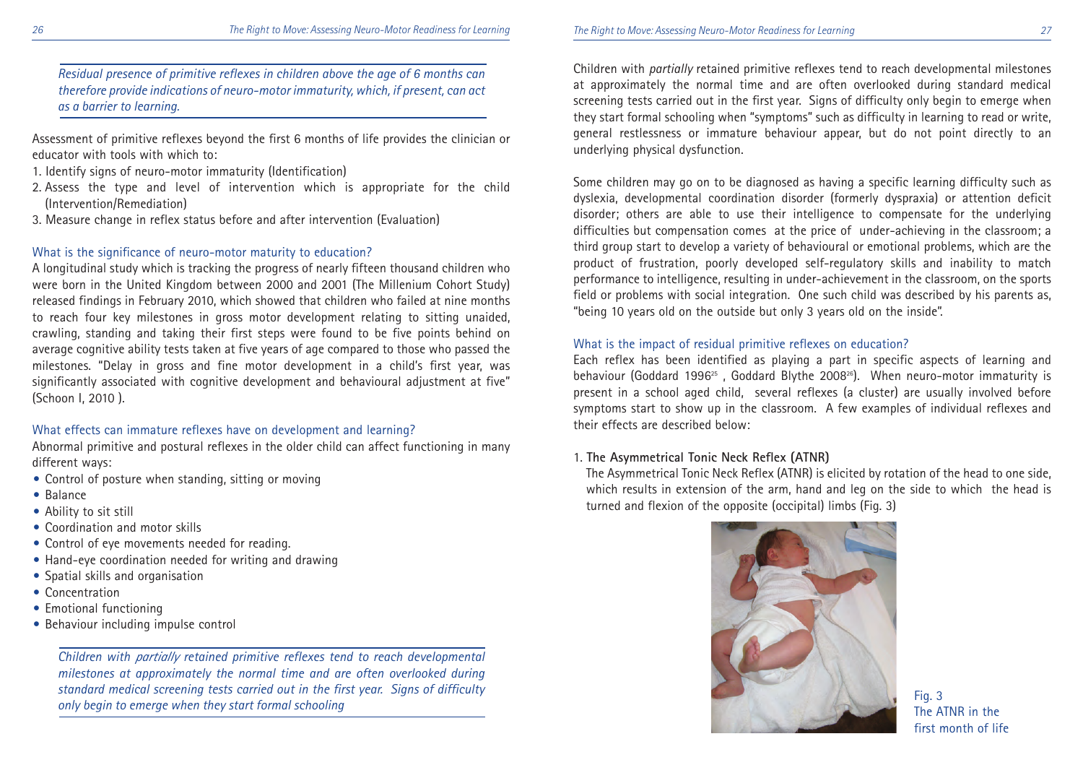*Residual presence of primitive reflexes in children above the age of 6 months can therefore provide indications of neuro-motor immaturity, which, if present, can act as a barrier to learning.* 

Assessment of primitive reflexes beyond the first 6 months of life provides the clinician or educator with tools with which to:

- 1. Identify signs of neuro-motor immaturity (Identification)
- 2. Assess the type and level of intervention which is appropriate for the child (Intervention/Remediation)
- 3. Measure change in reflex status before and after intervention (Evaluation)

## What is the significance of neuro-motor maturity to education?

A longitudinal study which is tracking the progress of nearly fifteen thousand children who were born in the United Kingdom between 2000 and 2001 (The Millenium Cohort Study) released findings in February 2010, which showed that children who failed at nine months to reach four key milestones in gross motor development relating to sitting unaided, crawling, standing and taking their first steps were found to be five points behind on average cognitive ability tests taken at five years of age compared to those who passed the milestones. "Delay in gross and fine motor development in a child's first year, was significantly associated with cognitive development and behavioural adjustment at five" (Schoon I, 2010 ).

#### What effects can immature reflexes have on development and learning?

Abnormal primitive and postural reflexes in the older child can affect functioning in many different ways:

- Control of posture when standing, sitting or moving
- *•* Balance
- *•* Ability to sit still
- *•* Coordination and motor skills
- *•* Control of eye movements needed for reading.
- *•* Hand-eye coordination needed for writing and drawing
- *•* Spatial skills and organisation
- *•* Concentration
- *•* Emotional functioning
- *•* Behaviour including impulse control

*Children with partially retained primitive reflexes tend to reach developmental milestones at approximately the normal time and are often overlooked during standard medical screening tests carried out in the first year. Signs of difficulty only begin to emerge when they start formal schooling* Fig. 3<br>and the emerge when they start formal schooling Fig. 3

Children with *partially* retained primitive reflexes tend to reach developmental milestones at approximately the normal time and are often overlooked during standard medical screening tests carried out in the first year. Signs of difficulty only begin to emerge when they start formal schooling when "symptoms" such as difficulty in learning to read or write, general restlessness or immature behaviour appear, but do not point directly to an underlying physical dysfunction.

Some children may go on to be diagnosed as having a specific learning difficulty such as dyslexia, developmental coordination disorder (formerly dyspraxia) or attention deficit disorder; others are able to use their intelligence to compensate for the underlying difficulties but compensation comes at the price of under-achieving in the classroom; a third group start to develop a variety of behavioural or emotional problems, which are the product of frustration, poorly developed self-regulatory skills and inability to match performance to intelligence, resulting in under-achievement in the classroom, on the sports field or problems with social integration. One such child was described by his parents as, "being 10 years old on the outside but only 3 years old on the inside".

### What is the impact of residual primitive reflexes on education?

Each reflex has been identified as playing a part in specific aspects of learning and behaviour (Goddard 1996<sup>25</sup>, Goddard Blythe 2008<sup>26</sup>). When neuro-motor immaturity is present in a school aged child, several reflexes (a cluster) are usually involved before symptoms start to show up in the classroom. A few examples of individual reflexes and their effects are described below:

### 1. **The Asymmetrical Tonic Neck Reflex (ATNR)**

The Asymmetrical Tonic Neck Reflex (ATNR) is elicited by rotation of the head to one side, which results in extension of the arm, hand and leg on the side to which the head is turned and flexion of the opposite (occipital) limbs (Fig. 3)



The ATNR in the first month of life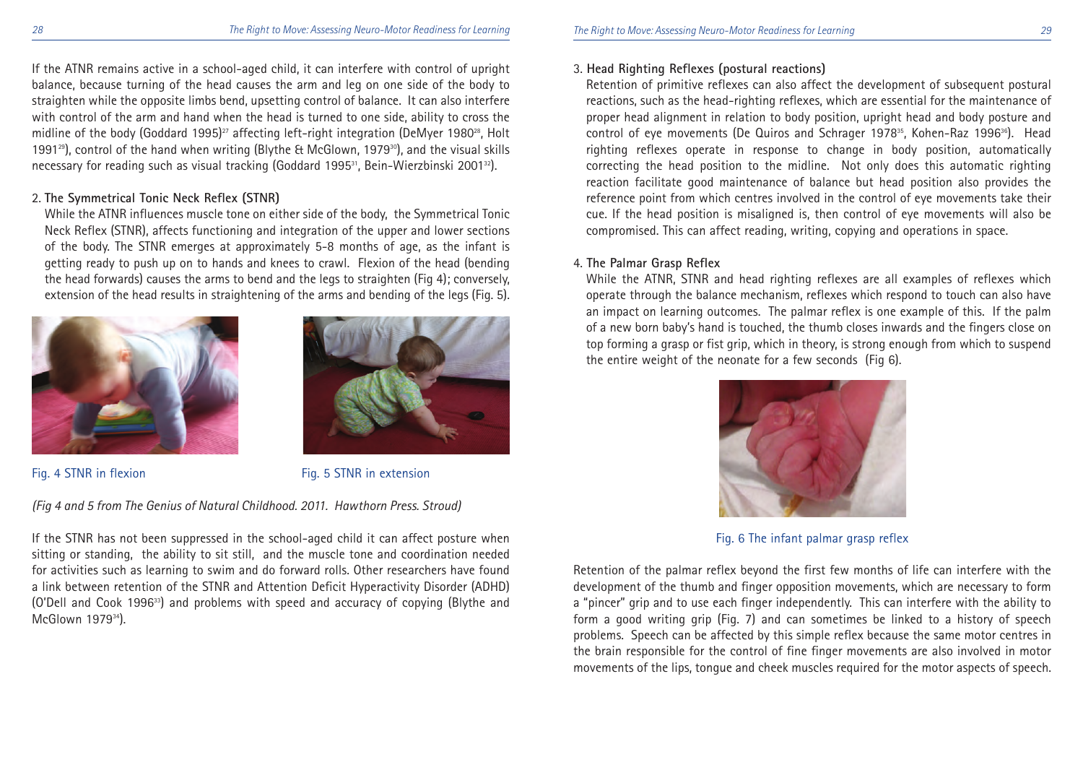If the ATNR remains active in a school-aged child, it can interfere with control of upright balance, because turning of the head causes the arm and leg on one side of the body to straighten while the opposite limbs bend, upsetting control of balance. It can also interfere with control of the arm and hand when the head is turned to one side, ability to cross the midline of the body (Goddard 1995)<sup>27</sup> affecting left-right integration (DeMyer 1980<sup>28</sup>, Holt 1991<sup>29</sup>), control of the hand when writing (Blythe & McGlown, 1979<sup>30</sup>), and the visual skills necessary for reading such as visual tracking (Goddard 1995<sup>31</sup>, Bein-Wierzbinski 2001<sup>32</sup>).

## 2. **The Symmetrical Tonic Neck Reflex (STNR)**

While the ATNR influences muscle tone on either side of the body, the Symmetrical Tonic Neck Reflex (STNR), affects functioning and integration of the upper and lower sections of the body. The STNR emerges at approximately 5-8 months of age, as the infant is getting ready to push up on to hands and knees to crawl. Flexion of the head (bending the head forwards) causes the arms to bend and the legs to straighten (Fig 4); conversely, extension of the head results in straightening of the arms and bending of the legs (Fig. 5).





Fig. 4 STNR in flexion Fig. 5 STNR in extension

## *(Fig 4 and 5 from The Genius of Natural Childhood. 2011. Hawthorn Press. Stroud)*

If the STNR has not been suppressed in the school-aged child it can affect posture when sitting or standing, the ability to sit still, and the muscle tone and coordination needed for activities such as learning to swim and do forward rolls. Other researchers have found a link between retention of the STNR and Attention Deficit Hyperactivity Disorder (ADHD) (O'Dell and Cook 199633) and problems with speed and accuracy of copying (Blythe and McGlown 197934).

## 3. **Head Righting Reflexes (postural reactions)**

Retention of primitive reflexes can also affect the development of subsequent postural reactions, such as the head-righting reflexes, which are essential for the maintenance of proper head alignment in relation to body position, upright head and body posture and control of eye movements (De Quiros and Schrager 1978<sup>35</sup>, Kohen-Raz 1996<sup>36</sup>). Head righting reflexes operate in response to change in body position, automatically correcting the head position to the midline. Not only does this automatic righting reaction facilitate good maintenance of balance but head position also provides the reference point from which centres involved in the control of eye movements take their cue. If the head position is misaligned is, then control of eye movements will also be compromised. This can affect reading, writing, copying and operations in space.

## 4. **The Palmar Grasp Reflex**

While the ATNR, STNR and head righting reflexes are all examples of reflexes which operate through the balance mechanism, reflexes which respond to touch can also have an impact on learning outcomes. The palmar reflex is one example of this. If the palm of a new born baby's hand is touched, the thumb closes inwards and the fingers close on top forming a grasp or fist grip, which in theory, is strong enough from which to suspend the entire weight of the neonate for a few seconds (Fig 6).



Fig. 6 The infant palmar grasp reflex

Retention of the palmar reflex beyond the first few months of life can interfere with the development of the thumb and finger opposition movements, which are necessary to form a "pincer" grip and to use each finger independently. This can interfere with the ability to form a good writing grip (Fig. 7) and can sometimes be linked to a history of speech problems. Speech can be affected by this simple reflex because the same motor centres in the brain responsible for the control of fine finger movements are also involved in motor movements of the lips, tongue and cheek muscles required for the motor aspects of speech.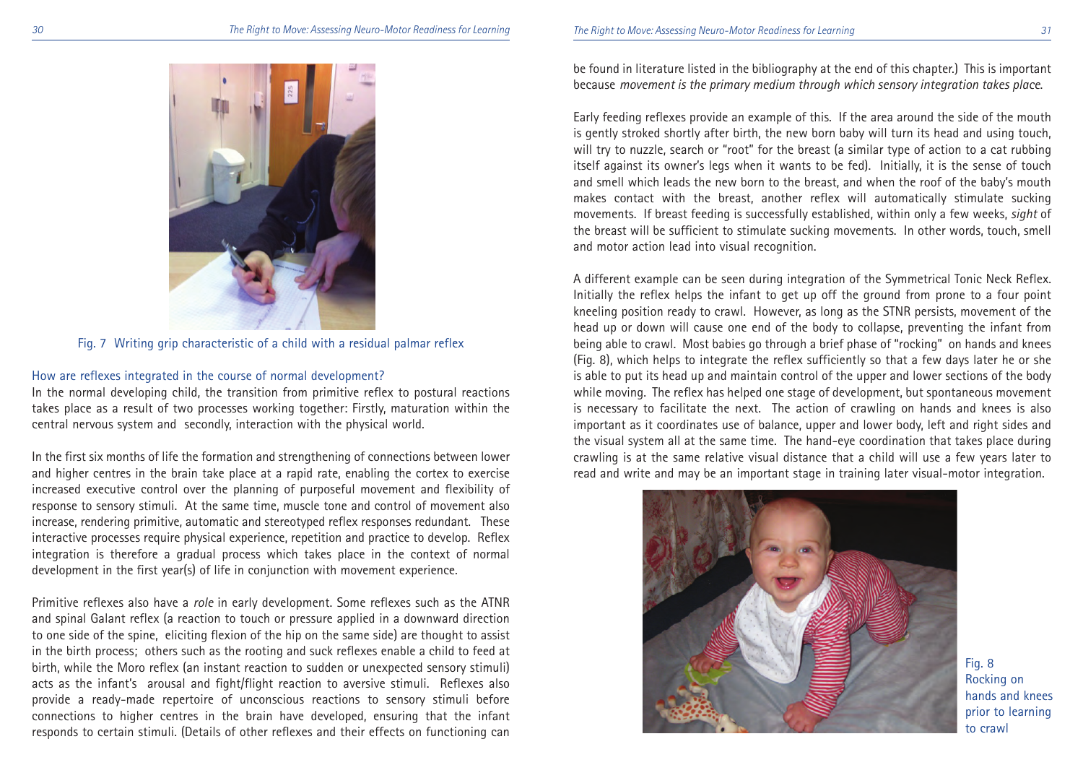

Fig. 7 Writing grip characteristic of a child with a residual palmar reflex

## How are reflexes integrated in the course of normal development?

In the normal developing child, the transition from primitive reflex to postural reactions takes place as a result of two processes working together: Firstly, maturation within the central nervous system and secondly, interaction with the physical world.

In the first six months of life the formation and strengthening of connections between lower and higher centres in the brain take place at a rapid rate, enabling the cortex to exercise increased executive control over the planning of purposeful movement and flexibility of response to sensory stimuli. At the same time, muscle tone and control of movement also increase, rendering primitive, automatic and stereotyped reflex responses redundant. These interactive processes require physical experience, repetition and practice to develop. Reflex integration is therefore a gradual process which takes place in the context of normal development in the first year(s) of life in conjunction with movement experience.

Primitive reflexes also have a *role* in early development. Some reflexes such as the ATNR and spinal Galant reflex (a reaction to touch or pressure applied in a downward direction to one side of the spine, eliciting flexion of the hip on the same side) are thought to assist in the birth process; others such as the rooting and suck reflexes enable a child to feed at birth, while the Moro reflex (an instant reaction to sudden or unexpected sensory stimuli) acts as the infant's arousal and fight/flight reaction to aversive stimuli. Reflexes also provide a ready-made repertoire of unconscious reactions to sensory stimuli before connections to higher centres in the brain have developed, ensuring that the infant responds to certain stimuli. (Details of other reflexes and their effects on functioning can

be found in literature listed in the bibliography at the end of this chapter.) This is important because *movement is the primary medium through which sensory integration takes place*.

Early feeding reflexes provide an example of this. If the area around the side of the mouth is gently stroked shortly after birth, the new born baby will turn its head and using touch, will try to nuzzle, search or "root" for the breast (a similar type of action to a cat rubbing itself against its owner's legs when it wants to be fed). Initially, it is the sense of touch and smell which leads the new born to the breast, and when the roof of the baby's mouth makes contact with the breast, another reflex will automatically stimulate sucking movements. If breast feeding is successfully established, within only a few weeks, *sight* of the breast will be sufficient to stimulate sucking movements. In other words, touch, smell and motor action lead into visual recognition.

A different example can be seen during integration of the Symmetrical Tonic Neck Reflex. Initially the reflex helps the infant to get up off the ground from prone to a four point kneeling position ready to crawl. However, as long as the STNR persists, movement of the head up or down will cause one end of the body to collapse, preventing the infant from being able to crawl. Most babies go through a brief phase of "rocking" on hands and knees (Fig. 8), which helps to integrate the reflex sufficiently so that a few days later he or she is able to put its head up and maintain control of the upper and lower sections of the body while moving. The reflex has helped one stage of development, but spontaneous movement is necessary to facilitate the next. The action of crawling on hands and knees is also important as it coordinates use of balance, upper and lower body, left and right sides and the visual system all at the same time. The hand-eye coordination that takes place during crawling is at the same relative visual distance that a child will use a few years later to read and write and may be an important stage in training later visual-motor integration.



Fig. 8 Rocking on hands and knees prior to learning to crawl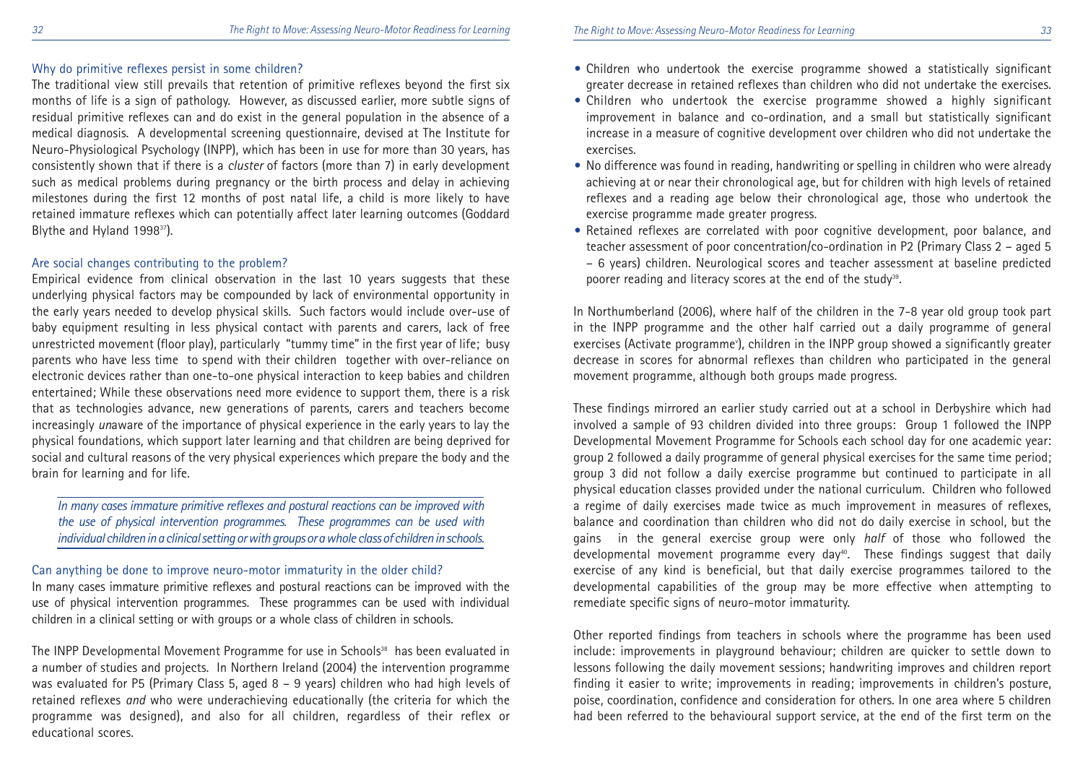#### Why do primitive reflexes persist in some children?

The traditional view still prevails that retention of primitive reflexes beyond the first six months of life is a sign of pathology. However, as discussed earlier, more subtle signs of residual primitive reflexes can and do exist in the general population in the absence of a medical diagnosis. A developmental screening questionnaire, devised at The Institute for Neuro-Physiological Psychology (INPP), which has been in use for more than 30 years, has consistently shown that if there is a *cluster* of factors (more than 7) in early development such as medical problems during pregnancy or the birth process and delay in achieving milestones during the first 12 months of post natal life, a child is more likely to have retained immature reflexes which can potentially affect later learning outcomes (Goddard Blythe and Hyland 1998<sup>37</sup>).

## Are social changes contributing to the problem?

Empirical evidence from clinical observation in the last 10 years suggests that these underlying physical factors may be compounded by lack of environmental opportunity in the early years needed to develop physical skills. Such factors would include over-use of baby equipment resulting in less physical contact with parents and carers, lack of free unrestricted movement (floor play), particularly "tummy time" in the first year of life; busy parents who have less time to spend with their children together with over-reliance on electronic devices rather than one-to-one physical interaction to keep babies and children entertained; While these observations need more evidence to support them, there is a risk that as technologies advance, new generations of parents, carers and teachers become increasingly *un*aware of the importance of physical experience in the early years to lay the physical foundations, which support later learning and that children are being deprived for social and cultural reasons of the very physical experiences which prepare the body and the brain for learning and for life.

*In many cases immature primitive reflexes and postural reactions can be improved with the use of physical intervention programmes. These programmes can be used with individual children in a clinical setting or with groups or a whole class of children in schools.*

Can anything be done to improve neuro-motor immaturity in the older child? In many cases immature primitive reflexes and postural reactions can be improved with the use of physical intervention programmes. These programmes can be used with individual children in a clinical setting or with groups or a whole class of children in schools.

The INPP Developmental Movement Programme for use in Schools<sup>38</sup> has been evaluated in a number of studies and projects. In Northern Ireland (2004) the intervention programme was evaluated for P5 (Primary Class 5, aged 8 – 9 years) children who had high levels of retained reflexes *and* who were underachieving educationally (the criteria for which the programme was designed), and also for all children, regardless of their reflex or educational scores.

- *•* Children who undertook the exercise programme showed a statistically significant greater decrease in retained reflexes than children who did not undertake the exercises.
- *•* Children who undertook the exercise programme showed a highly significant improvement in balance and co-ordination, and a small but statistically significant increase in a measure of cognitive development over children who did not undertake the exercises.
- No difference was found in reading, handwriting or spelling in children who were already achieving at or near their chronological age, but for children with high levels of retained reflexes and a reading age below their chronological age, those who undertook the exercise programme made greater progress.
- *•* Retained reflexes are correlated with poor cognitive development, poor balance, and teacher assessment of poor concentration/co-ordination in P2 (Primary Class 2 – aged 5 – 6 years) children. Neurological scores and teacher assessment at baseline predicted poorer reading and literacy scores at the end of the study<sup>39</sup>.

In Northumberland (2006), where half of the children in the 7-8 year old group took part in the INPP programme and the other half carried out a daily programme of general exercises (Activate programme<sup>v</sup>), children in the INPP group showed a significantly greater decrease in scores for abnormal reflexes than children who participated in the general movement programme, although both groups made progress.

These findings mirrored an earlier study carried out at a school in Derbyshire which had involved a sample of 93 children divided into three groups: Group 1 followed the INPP Developmental Movement Programme for Schools each school day for one academic year: group 2 followed a daily programme of general physical exercises for the same time period; group 3 did not follow a daily exercise programme but continued to participate in all physical education classes provided under the national curriculum. Children who followed a regime of daily exercises made twice as much improvement in measures of reflexes, balance and coordination than children who did not do daily exercise in school, but the gains in the general exercise group were only *half* of those who followed the developmental movement programme every day<sup>40</sup>. These findings suggest that daily exercise of any kind is beneficial, but that daily exercise programmes tailored to the developmental capabilities of the group may be more effective when attempting to remediate specific signs of neuro-motor immaturity.

Other reported findings from teachers in schools where the programme has been used include: improvements in playground behaviour; children are quicker to settle down to lessons following the daily movement sessions; handwriting improves and children report finding it easier to write; improvements in reading; improvements in children's posture, poise, coordination, confidence and consideration for others. In one area where 5 children had been referred to the behavioural support service, at the end of the first term on the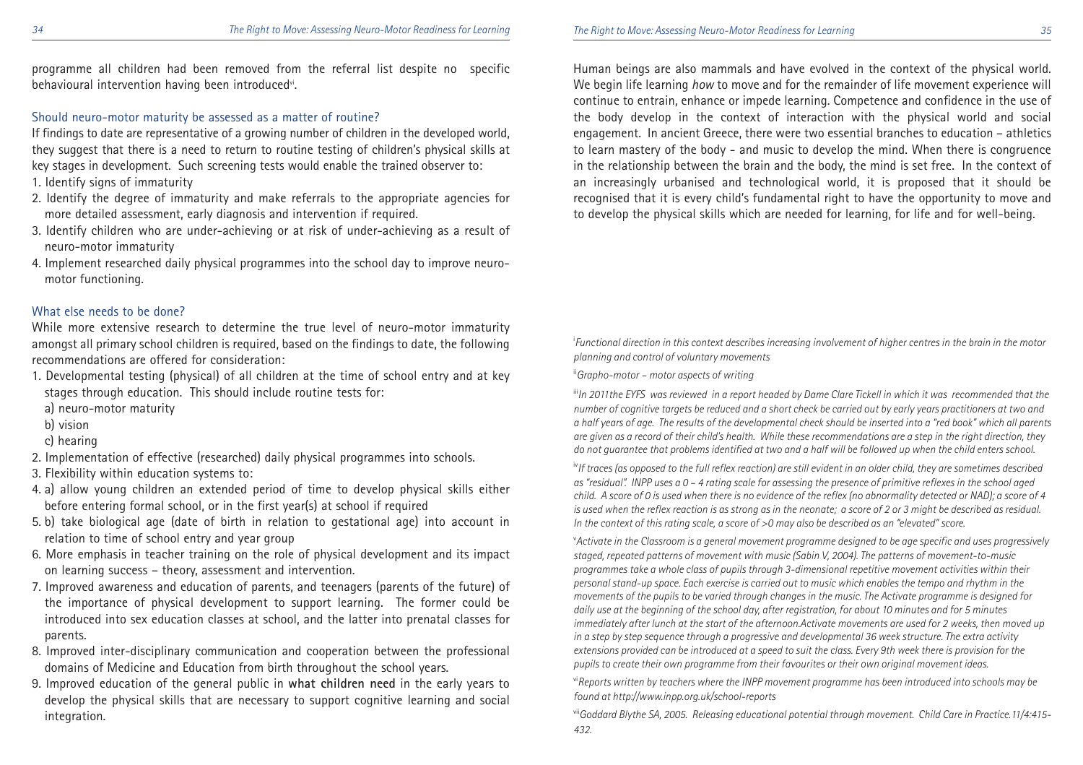programme all children had been removed from the referral list despite no specific behavioural intervention having been introduced<sup>v</sup>.

## Should neuro-motor maturity be assessed as a matter of routine?

If findings to date are representative of a growing number of children in the developed world, they suggest that there is a need to return to routine testing of children's physical skills at key stages in development. Such screening tests would enable the trained observer to:

- 1. Identify signs of immaturity
- 2. Identify the degree of immaturity and make referrals to the appropriate agencies for more detailed assessment, early diagnosis and intervention if required.
- 3. Identify children who are under-achieving or at risk of under-achieving as a result of neuro-motor immaturity
- 4. Implement researched daily physical programmes into the school day to improve neuromotor functioning.

### What else needs to be done?

While more extensive research to determine the true level of neuro-motor immaturity amongst all primary school children is required, based on the findings to date, the following recommendations are offered for consideration:

- 1. Developmental testing (physical) of all children at the time of school entry and at key stages through education. This should include routine tests for:
- a) neuro-motor maturity
- b) vision
- c) hearing
- 2. Implementation of effective (researched) daily physical programmes into schools.
- 3. Flexibility within education systems to:
- 4. a) allow young children an extended period of time to develop physical skills either before entering formal school, or in the first year(s) at school if required
- 5. b) take biological age (date of birth in relation to gestational age) into account in relation to time of school entry and year group
- 6. More emphasis in teacher training on the role of physical development and its impact on learning success – theory, assessment and intervention.
- 7. Improved awareness and education of parents, and teenagers (parents of the future) of the importance of physical development to support learning. The former could be introduced into sex education classes at school, and the latter into prenatal classes for parents.
- 8. Improved inter-disciplinary communication and cooperation between the professional domains of Medicine and Education from birth throughout the school years.
- 9. Improved education of the general public in **what children need** in the early years to develop the physical skills that are necessary to support cognitive learning and social integration.

Human beings are also mammals and have evolved in the context of the physical world. We begin life learning *how* to move and for the remainder of life movement experience will continue to entrain, enhance or impede learning. Competence and confidence in the use of the body develop in the context of interaction with the physical world and social engagement. In ancient Greece, there were two essential branches to education – athletics to learn mastery of the body - and music to develop the mind. When there is congruence in the relationship between the brain and the body, the mind is set free. In the context of an increasingly urbanised and technological world, it is proposed that it should be recognised that it is every child's fundamental right to have the opportunity to move and to develop the physical skills which are needed for learning, for life and for well-being.

i *Functional direction in this context describes increasing involvement of higher centres in the brain in the motor planning and control of voluntary movements*

ii*Grapho-motor – motor aspects of writing*

iii*In 2011the EYFS was reviewed in a report headed by Dame Clare Tickell in which it was recommended that the number of cognitive targets be reduced and a short check be carried out by early years practitioners at two and a half years of age. The results of the developmental check should be inserted into a "red book" which all parents are given as a record of their child's health. While these recommendations are a step in the right direction, they do not guarantee that problems identified at two and a half will be followed up when the child enters school.*

iv*If traces (as opposed to the full reflex reaction) are still evident in an older child, they are sometimes described as "residual". INPP uses a 0 – 4 rating scale for assessing the presence of primitive reflexes in the school aged child. A score of 0 is used when there is no evidence of the reflex (no abnormality detected or NAD); a score of 4 is used when the reflex reaction is as strong as in the neonate; a score of 2 or 3 might be described as residual. In the context of this rating scale, a score of >0 may also be described as an "elevated" score.*

v *Activate in the Classroom is a general movement programme designed to be age specific and uses progressively staged, repeated patterns of movement with music (Sabin V, 2004). The patterns of movement-to-music programmes take a whole class of pupils through 3-dimensional repetitive movement activities within their personal stand-up space. Each exercise is carried out to music which enables the tempo and rhythm in the movements of the pupils to be varied through changes in the music. The Activate programme is designed for daily use at the beginning of the school day, after registration, for about 10 minutes and for 5 minutes immediately after lunch at the start of the afternoon.Activate movements are used for 2 weeks, then moved up in a step by step sequence through a progressive and developmental 36 week structure. The extra activity extensions provided can be introduced at a speed to suit the class. Every 9th week there is provision for the pupils to create their own programme from their favourites or their own original movement ideas.*

vi*Reports written by teachers where the INPP movement programme has been introduced into schools may be found at http://www.inpp.org.uk/school-reports*

vii*Goddard Blythe SA, 2005. Releasing educational potential through movement. Child Care in Practice.11/4:415- 432.*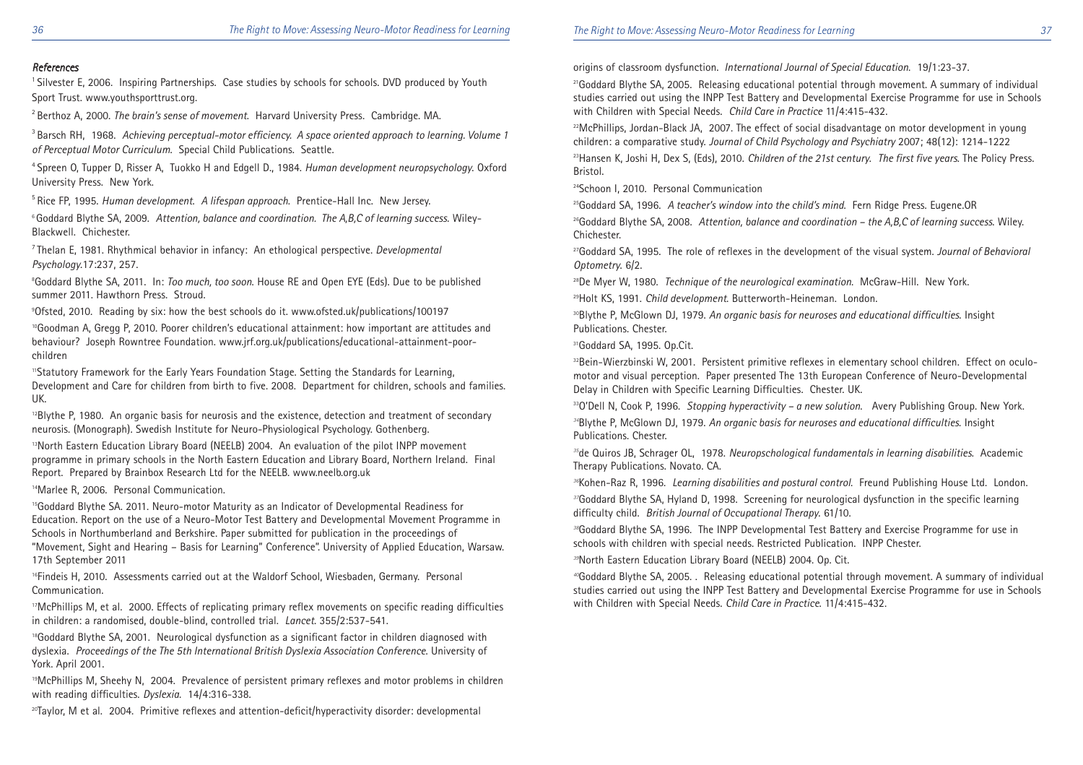#### *References*

1 Silvester E, 2006. Inspiring Partnerships. Case studies by schools for schools. DVD produced by Youth Sport Trust. www.youthsporttrust.org.

2 Berthoz A, 2000. *The brain's sense of movement*. Harvard University Press. Cambridge. MA.

3 Barsch RH, 1968. *Achieving perceptual-motor efficiency. A space oriented approach to learning. Volume 1 of Perceptual Motor Curriculum*. Special Child Publications. Seattle.

4 Spreen O, Tupper D, Risser A, Tuokko H and Edgell D., 1984. *Human development neuropsychology*. Oxford University Press. New York.

5 Rice FP, 1995. *Human development*. *A lifespan approach*. Prentice-Hall Inc. New Jersey.

6 Goddard Blythe SA, 2009. *Attention, balance and coordination. The A,B,C of learning success.* Wiley-Blackwell. Chichester.

7 Thelan E, 1981. Rhythmical behavior in infancy: An ethological perspective. *Developmental Psychology*.17:237, 257.

8 Goddard Blythe SA, 2011. In: *Too much, too soon*. House RE and Open EYE (Eds). Due to be published summer 2011. Hawthorn Press. Stroud.

9 Ofsted, 2010. Reading by six: how the best schools do it. www.ofsted.uk/publications/100197

10 Goodman A, Gregg P, 2010. Poorer children's educational attainment: how important are attitudes and behaviour? Joseph Rowntree Foundation. www.jrf.org.uk/publications/educational-attainment-poorchildren

11Statutory Framework for the Early Years Foundation Stage. Setting the Standards for Learning, Development and Care for children from birth to five. 2008. Department for children, schools and families. UK.

 $12$ Blythe P, 1980. An organic basis for neurosis and the existence, detection and treatment of secondary neurosis. (Monograph). Swedish Institute for Neuro-Physiological Psychology. Gothenberg.

<sup>13</sup>North Eastern Education Library Board (NEELB) 2004. An evaluation of the pilot INPP movement programme in primary schools in the North Eastern Education and Library Board, Northern Ireland. Final Report. Prepared by Brainbox Research Ltd for the NEELB. www.neelb.org.uk

<sup>14</sup>Marlee R, 2006. Personal Communication.

15Goddard Blythe SA. 2011. Neuro-motor Maturity as an Indicator of Developmental Readiness for Education. Report on the use of a Neuro-Motor Test Battery and Developmental Movement Programme in Schools in Northumberland and Berkshire. Paper submitted for publication in the proceedings of "Movement, Sight and Hearing – Basis for Learning" Conference". University of Applied Education, Warsaw. 17th September 2011

<sup>16</sup>Findeis H, 2010. Assessments carried out at the Waldorf School, Wiesbaden, Germany. Personal Communication.

17McPhillips M, et al. 2000. Effects of replicating primary reflex movements on specific reading difficulties in children: a randomised, double-blind, controlled trial. *Lancet*. 355/2:537-541.

<sup>18</sup>Goddard Blythe SA, 2001. Neurological dysfunction as a significant factor in children diagnosed with dyslexia. *Proceedings of the The 5th International British Dyslexia Association Conference*. University of York. April 2001.

19McPhillips M, Sheehy N, 2004. Prevalence of persistent primary reflexes and motor problems in children with reading difficulties. *Dyslexia*. 14/4:316-338.

20Taylor, M et al. 2004. Primitive reflexes and attention-deficit/hyperactivity disorder: developmental

origins of classroom dysfunction. *International Journal of Special Education*. 19/1:23-37.

21Goddard Blythe SA, 2005. Releasing educational potential through movement. A summary of individual studies carried out using the INPP Test Battery and Developmental Exercise Programme for use in Schools with Children with Special Needs. *Child Care in Practice* 11/4:415-432.

22McPhillips, Jordan-Black JA, 2007. The effect of social disadvantage on motor development in young children: a comparative study. *Journal of Child Psychology and Psychiatry* 2007; 48(12): 1214-1222 23Hansen K, Joshi H, Dex S, (Eds), 2010. *Children of the 21st century*. *The first five years*. The Policy Press. Bristol.

24Schoon I, 2010. Personal Communication

25Goddard SA, 1996. *A teacher's window into the child's mind*. Fern Ridge Press. Eugene.OR

26Goddard Blythe SA, 2008. *Attention, balance and coordination – the A,B,C of learning success*. Wiley. Chichester.

27Goddard SA, 1995. The role of reflexes in the development of the visual system. *Journal of Behavioral Optometry*. 6/2.

28De Myer W, 1980. *Technique of the neurological examination*. McGraw-Hill. New York.

29Holt KS, 1991. *Child development*. Butterworth-Heineman. London.

30Blythe P, McGlown DJ, 1979. *An organic basis for neuroses and educational difficulties*. Insight Publications. Chester.

31 Goddard SA, 1995. Op.Cit.

32 Bein-Wierzbinski W, 2001. Persistent primitive reflexes in elementary school children. Effect on oculomotor and visual perception. Paper presented The 13th European Conference of Neuro-Developmental Delay in Children with Specific Learning Difficulties. Chester. UK.

33O'Dell N, Cook P, 1996. *Stopping hyperactivity – a new solution*. Avery Publishing Group. New York.

*<sup>34</sup>*Blythe P, McGlown DJ, 1979. *An organic basis for neuroses and educational difficulties*. Insight Publications. Chester.

*<sup>35</sup>*de Quiros JB, Schrager OL, 1978. *Neuropschological fundamentals in learning disabilities*. Academic Therapy Publications. Novato. CA.

*<sup>36</sup>*Kohen-Raz R, 1996. *Learning disabilities and postural control*. Freund Publishing House Ltd. London.

*<sup>37</sup>*Goddard Blythe SA, Hyland D, 1998. Screening for neurological dysfunction in the specific learning difficulty child. *British Journal of Occupational Therapy*. 61/10.

*<sup>38</sup>*Goddard Blythe SA, 1996. The INPP Developmental Test Battery and Exercise Programme for use in schools with children with special needs. Restricted Publication. INPP Chester.

*<sup>39</sup>*North Eastern Education Library Board (NEELB) 2004. Op. Cit.

*<sup>40</sup>*Goddard Blythe SA, 2005. . Releasing educational potential through movement. A summary of individual studies carried out using the INPP Test Battery and Developmental Exercise Programme for use in Schools with Children with Special Needs. *Child Care in Practice*. 11/4:415-432.